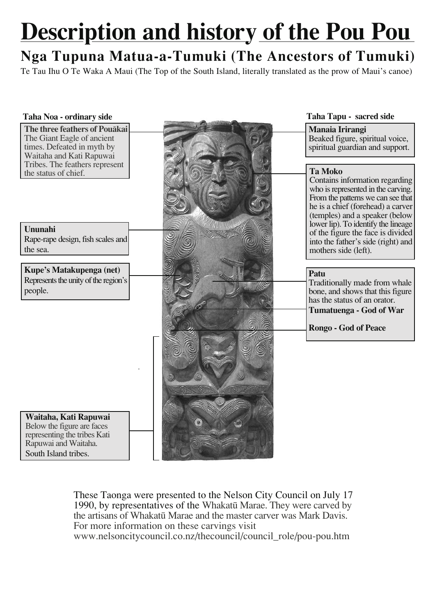## **Description and history of the Pou Pou**

## Nga Tupuna Matua-a-Tumuki (The Ancestors of Tumuki)

Te Tau Ihu O Te Waka A Maui (The Top of the South Island, literally translated as the prow of Maui's canoe)

| Taha Tapu - sacred side<br>Taha Noa - ordinary side                                                                                      |                                                                                                                                                                                  |
|------------------------------------------------------------------------------------------------------------------------------------------|----------------------------------------------------------------------------------------------------------------------------------------------------------------------------------|
| The three feathers of Pouākai<br>Manaia Irirangi<br>The Giant Eagle of ancient<br>times. Defeated in myth by<br>Waitaha and Kati Rapuwai | Beaked figure, spiritual voice,<br>spiritual guardian and support.                                                                                                               |
| Tribes. The feathers represent<br><b>Ta Moko</b><br>the status of chief.                                                                 | Contains information regarding<br>who is represented in the carving.<br>From the patterns we can see that<br>he is a chief (forehead) a carver<br>(temples) and a speaker (below |
| Ununahi                                                                                                                                  | lower lip). To identify the lineage                                                                                                                                              |
| Rape-rape design, fish scales and<br>the sea.<br>mothers side (left).                                                                    | of the figure the face is divided<br>into the father's side (right) and                                                                                                          |
| Kupe's Matakupenga (net)<br>Patu                                                                                                         |                                                                                                                                                                                  |
| Represents the unity of the region's                                                                                                     | Traditionally made from whale                                                                                                                                                    |
| people.                                                                                                                                  | bone, and shows that this figure                                                                                                                                                 |
| has the status of an orator.<br><b>Tumatuenga - God of War</b>                                                                           |                                                                                                                                                                                  |
| Rongo - God of Peace                                                                                                                     |                                                                                                                                                                                  |
|                                                                                                                                          |                                                                                                                                                                                  |
|                                                                                                                                          |                                                                                                                                                                                  |
|                                                                                                                                          |                                                                                                                                                                                  |
|                                                                                                                                          |                                                                                                                                                                                  |
|                                                                                                                                          |                                                                                                                                                                                  |
| Waitaha, Kati Rapuwai                                                                                                                    |                                                                                                                                                                                  |
|                                                                                                                                          |                                                                                                                                                                                  |
| Below the figure are faces<br>representing the tribes Kati<br>Rapuwai and Waitaha.                                                       |                                                                                                                                                                                  |

These Taonga were presented to the Nelson City Council on July 17 1990, by representatives of the Whakatū Marae. They were carved by the artisans of Whakatū Marae and the master carver was Mark Davis. For more information on these carvings visit www.nelsoncitycouncil.co.nz/thecouncil/council role/pou-pou.htm